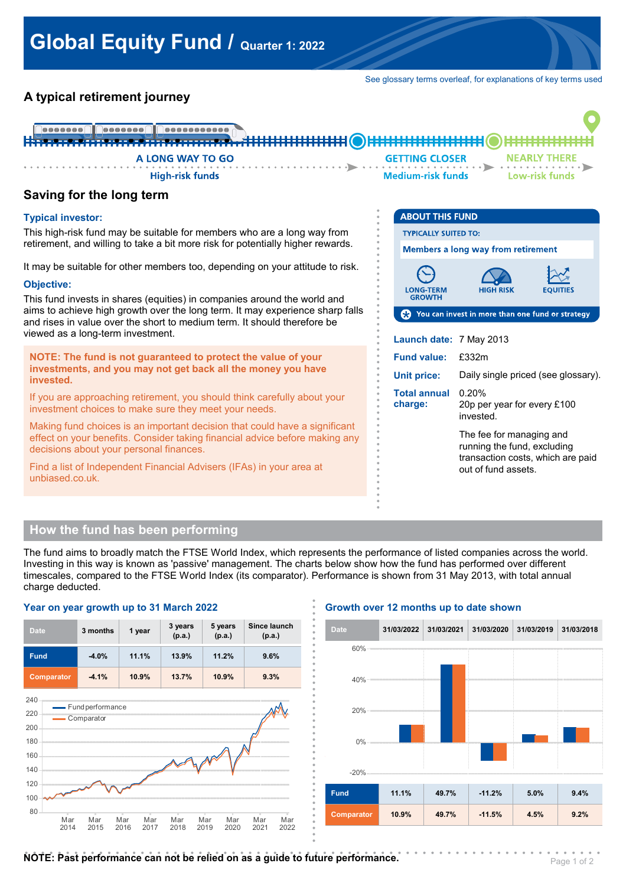See glossary terms overleaf, for explanations of key terms used

# **A typical retirement journey**



**. . . . . . . . . . . . . . . .**

**. . . . . . . . . . . . . . . .**

**. . . . . . . . . . . . . . . .**

## **Saving for the long term**

#### **Typical investor:**

This high-risk fund may be suitable for members who are a long way from retirement, and willing to take a bit more risk for potentially higher rewards.

It may be suitable for other members too, depending on your attitude to risk.

#### **Objective:**

This fund invests in shares (equities) in companies around the world and aims to achieve high growth over the long term. It may experience sharp falls and rises in value over the short to medium term. It should therefore be viewed as a long-term investment.

**NOTE: The fund is not guaranteed to protect the value of your investments, and you may not get back all the money you have invested.**

If you are approaching retirement, you should think carefully about your investment choices to make sure they meet your needs.

Making fund choices is an important decision that could have a significant effect on your benefits. Consider taking financial advice before making any decisions about your personal finances.

Find a list of Independent Financial Advisers (IFAs) in your area at unbiased.co.uk.

| <b>ABOUT THIS FUND</b>                                 |                                                                                                                     |  |  |  |  |
|--------------------------------------------------------|---------------------------------------------------------------------------------------------------------------------|--|--|--|--|
| <b>TYPICALLY SUITED TO:</b>                            |                                                                                                                     |  |  |  |  |
| Members a long way from retirement                     |                                                                                                                     |  |  |  |  |
| <b>LONG-TERM</b><br><b>GROWTH</b>                      | HIGH RISK<br><b>EQUITIES</b>                                                                                        |  |  |  |  |
| You can invest in more than one fund or strategy<br>69 |                                                                                                                     |  |  |  |  |
| Launch date: 7 May 2013                                |                                                                                                                     |  |  |  |  |
| <b>Fund value:</b>                                     | £332m                                                                                                               |  |  |  |  |
| Unit price:                                            | Daily single priced (see glossary).                                                                                 |  |  |  |  |
| Total annual<br>charge:                                | 0.20%<br>20p per year for every £100<br>invested.                                                                   |  |  |  |  |
|                                                        | The fee for managing and<br>running the fund, excluding<br>transaction costs, which are paid<br>out of fund assets. |  |  |  |  |

## **How the fund has been performing**

The fund aims to broadly match the FTSE World Index, which represents the performance of listed companies across the world. Investing in this way is known as 'passive' management. The charts below show how the fund has performed over different timescales, compared to the FTSE World Index (its comparator). Performance is shown from 31 May 2013, with total annual charge deducted. **. .**

**Growth over 12 months up to date shown**

#### **3 months 1 year 3 years (p.a.) 5 years (p.a.) Since launch** Date 3 months 1 year p.a.) (p.a.) (p.a.) (p.a.) **Fund -4.0% 11.1% 13.9% 11.2% 9.6% Comparator -4.1% 10.9% 13.7% 10.9% 9.3% . . . . . . . . . . . . . . . . . . . . . . . . . . . . . . . . . . . . .** -20% 0% 20% 40%  $60%$ **Date 31/03/2022 31/03/2021 31/03/2020 31/03/2019 31/03/2018 Fund 11.1% 49.7% -11.2% 5.0% 9.4%** 80 **Comparator 10.9% 49.7% -11.5% 4.5% 9.2%** 100 120 140 160 180  $200$ 220 240 Mar  $2014$ Mar  $2015$ Mar  $2016$ Mar  $2017$ Mar  $2018$ Mar  $2010$ Mar 2020 Mar 2021 Mar 2022 - Fund performance **Comparator . . . . . . . . . . . . . . . . . . . . . . . . . . . . . . . . . . . . . . . . . . . . . . . . . . . . . . . . . . . . . . . . . . . . . .**

#### **Year on year growth up to 31 March 2022**

**NOTE: Past performance can not be relied on as a guide to future performance.**